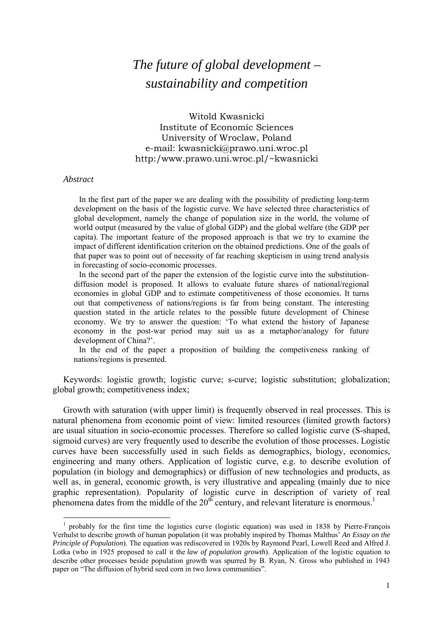# *The future of global development – sustainability and competition*

Witold Kwasnicki Institute of Economic Sciences University of Wroclaw, Poland e-mail: kwasnicki@prawo.uni.wroc.pl http:/www.prawo.uni.wroc.pl/~kwasnicki

#### *Abstract*

1

In the first part of the paper we are dealing with the possibility of predicting long-term development on the basis of the logistic curve. We have selected three characteristics of global development, namely the change of population size in the world, the volume of world output (measured by the value of global GDP) and the global welfare (the GDP per capita). The important feature of the proposed approach is that we try to examine the impact of different identification criterion on the obtained predictions. One of the goals of that paper was to point out of necessity of far reaching skepticism in using trend analysis in forecasting of socio-economic processes.

In the second part of the paper the extension of the logistic curve into the substitutiondiffusion model is proposed. It allows to evaluate future shares of national/regional economies in global GDP and to estimate competitiveness of those economies. It turns out that competiveness of nations/regions is far from being constant. The interesting question stated in the article relates to the possible future development of Chinese economy. We try to answer the question: 'To what extend the history of Japanese economy in the post-war period may suit us as a metaphor/analogy for future development of China?'.

In the end of the paper a proposition of building the competiveness ranking of nations/regions is presented.

Keywords: logistic growth; logistic curve; s-curve; logistic substitution; globalization; global growth; competitiveness index;

Growth with saturation (with upper limit) is frequently observed in real processes. This is natural phenomena from economic point of view: limited resources (limited growth factors) are usual situation in socio-economic processes. Therefore so called logistic curve (S-shaped, sigmoid curves) are very frequently used to describe the evolution of those processes. Logistic curves have been successfully used in such fields as demographics, biology, economics, engineering and many others. Application of logistic curve, e.g. to describe evolution of population (in biology and demographics) or diffusion of new technologies and products, as well as, in general, economic growth, is very illustrative and appealing (mainly due to nice graphic representation). Popularity of logistic curve in description of variety of real phenomena dates from the middle of the  $20<sup>th</sup>$  century, and relevant literature is enormous.<sup>1</sup>

<sup>1</sup> probably for the first time the logistics curve (logistic equation) was used in 1838 by Pierre-François Verhulst to describe growth of human population (it was probably inspired by Thomas Malthus' *An Essay on the Principle of Population*). The equation was rediscovered in 1920s by Raymond Pearl, Lowell Reed and Alfred J. Lotka (who in 1925 proposed to call it the *law of population growth*). Application of the logistic equation to describe other processes beside population growth was spurred by B. Ryan, N. Gross who published in 1943 paper on "The diffusion of hybrid seed corn in two Iowa communities".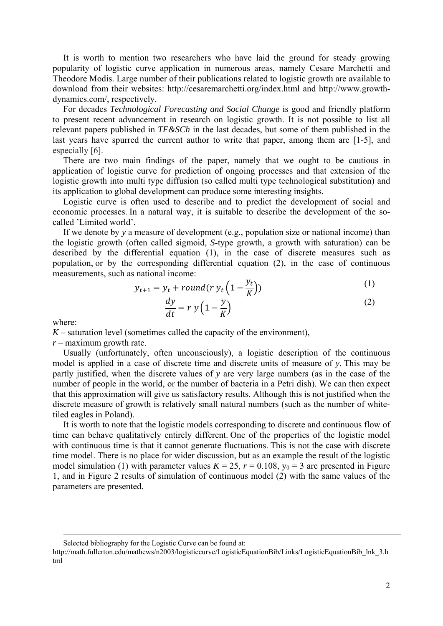It is worth to mention two researchers who have laid the ground for steady growing popularity of logistic curve application in numerous areas, namely Cesare Marchetti and Theodore Modis. Large number of their publications related to logistic growth are available to download from their websites: http://cesaremarchetti.org/index.html and http://www.growthdynamics.com/, respectively.

For decades *Technological Forecasting and Social Change* is good and friendly platform to present recent advancement in research on logistic growth. It is not possible to list all relevant papers published in *TF&SCh* in the last decades, but some of them published in the last years have spurred the current author to write that paper, among them are [1-5], and especially [6].

There are two main findings of the paper, namely that we ought to be cautious in application of logistic curve for prediction of ongoing processes and that extension of the logistic growth into multi type diffusion (so called multi type technological substitution) and its application to global development can produce some interesting insights.

Logistic curve is often used to describe and to predict the development of social and economic processes. In a natural way, it is suitable to describe the development of the socalled 'Limited world'.

If we denote by *y* a measure of development (e.g., population size or national income) than the logistic growth (often called sigmoid, *S*-type growth, a growth with saturation) can be described by the differential equation (1), in the case of discrete measures such as population, or by the corresponding differential equation (2), in the case of continuous measurements, such as national income:

$$
y_{t+1} = y_t + round(r y_t \left(1 - \frac{y_t}{K}\right))
$$
\n(1)

$$
\frac{dy}{dt} = r y \left( 1 - \frac{y}{K} \right) \tag{2}
$$

where:

 $K$  – saturation level (sometimes called the capacity of the environment),

*r* – maximum growth rate.

Usually (unfortunately, often unconsciously), a logistic description of the continuous model is applied in a case of discrete time and discrete units of measure of *y*. This may be partly justified, when the discrete values of *y* are very large numbers (as in the case of the number of people in the world, or the number of bacteria in a Petri dish). We can then expect that this approximation will give us satisfactory results. Although this is not justified when the discrete measure of growth is relatively small natural numbers (such as the number of whitetiled eagles in Poland).

It is worth to note that the logistic models corresponding to discrete and continuous flow of time can behave qualitatively entirely different. One of the properties of the logistic model with continuous time is that it cannot generate fluctuations. This is not the case with discrete time model. There is no place for wider discussion, but as an example the result of the logistic model simulation (1) with parameter values  $K = 25$ ,  $r = 0.108$ ,  $y_0 = 3$  are presented in Figure 1, and in Figure 2 results of simulation of continuous model (2) with the same values of the parameters are presented.

Selected bibliography for the Logistic Curve can be found at:

http://math.fullerton.edu/mathews/n2003/logisticcurve/LogisticEquationBib/Links/LogisticEquationBib\_lnk\_3.h tml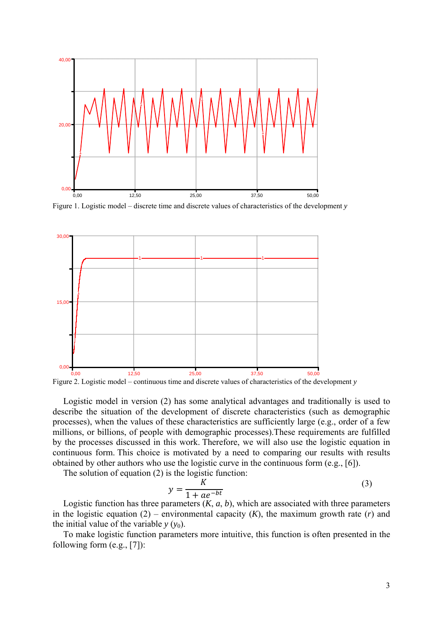

Figure 1. Logistic model – discrete time and discrete values of characteristics of the development *y* 



Figure 2. Logistic model – continuous time and discrete values of characteristics of the development *y*

Logistic model in version (2) has some analytical advantages and traditionally is used to describe the situation of the development of discrete characteristics (such as demographic processes), when the values of these characteristics are sufficiently large (e.g., order of a few millions, or billions, of people with demographic processes).These requirements are fulfilled by the processes discussed in this work. Therefore, we will also use the logistic equation in continuous form. This choice is motivated by a need to comparing our results with results obtained by other authors who use the logistic curve in the continuous form (e.g., [6]).

The solution of equation (2) is the logistic function:

$$
y = \frac{K}{1 + ae^{-bt}}\tag{3}
$$

Logistic function has three parameters  $(K, a, b)$ , which are associated with three parameters in the logistic equation  $(2)$  – environmental capacity  $(K)$ , the maximum growth rate  $(r)$  and the initial value of the variable  $y(y_0)$ .

To make logistic function parameters more intuitive, this function is often presented in the following form (e.g., [7]):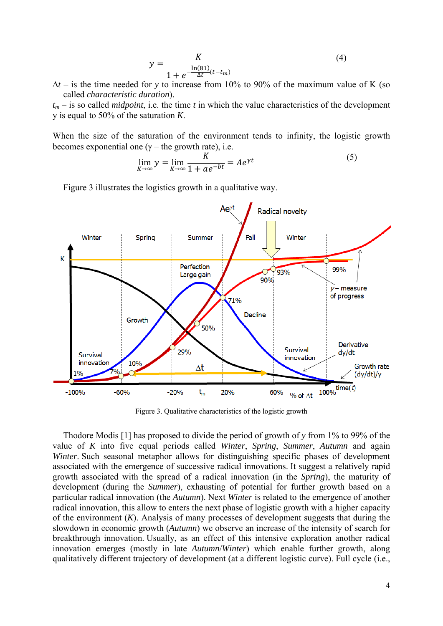$$
y = \frac{K}{1 + e^{-\frac{\ln(81)}{\Delta t}(t - t_m)}}
$$
(4)

 $\Delta t$  – is the time needed for *y* to increase from 10% to 90% of the maximum value of K (so called *characteristic duration*).

 $t_m$  – is so called *midpoint*, i.e. the time *t* in which the value characteristics of the development y is equal to 50% of the saturation *K*.

When the size of the saturation of the environment tends to infinity, the logistic growth becomes exponential one ( $\gamma$  – the growth rate), i.e.

$$
\lim_{K \to \infty} y = \lim_{K \to \infty} \frac{K}{1 + ae^{-bt}} = Ae^{\gamma t}
$$
 (5)

Figure 3 illustrates the logistics growth in a qualitative way.



Figure 3. Qualitative characteristics of the logistic growth

Thodore Modis [1] has proposed to divide the period of growth of *y* from 1% to 99% of the value of *K* into five equal periods called *Winter*, *Spring*, *Summer*, *Autumn* and again *Winter*. Such seasonal metaphor allows for distinguishing specific phases of development associated with the emergence of successive radical innovations. It suggest a relatively rapid growth associated with the spread of a radical innovation (in the *Spring*), the maturity of development (during the *Summer*), exhausting of potential for further growth based on a particular radical innovation (the *Autumn*). Next *Winter* is related to the emergence of another radical innovation, this allow to enters the next phase of logistic growth with a higher capacity of the environment (*K*). Analysis of many processes of development suggests that during the slowdown in economic growth (*Autumn*) we observe an increase of the intensity of search for breakthrough innovation. Usually, as an effect of this intensive exploration another radical innovation emerges (mostly in late *Autumn*/*Winter*) which enable further growth, along qualitatively different trajectory of development (at a different logistic curve). Full cycle (i.e.,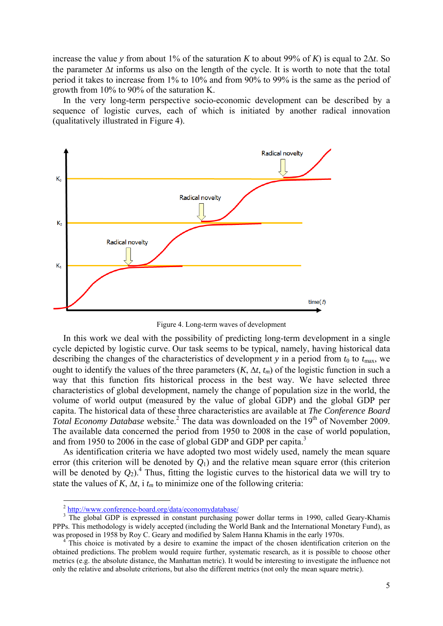increase the value *y* from about 1% of the saturation *K* to about 99% of *K*) is equal to 2 $\Delta t$ . So the parameter Δ*t* informs us also on the length of the cycle. It is worth to note that the total period it takes to increase from 1% to 10% and from 90% to 99% is the same as the period of growth from 10% to 90% of the saturation K.

In the very long-term perspective socio-economic development can be described by a sequence of logistic curves, each of which is initiated by another radical innovation (qualitatively illustrated in Figure 4).



Figure 4. Long-term waves of development

In this work we deal with the possibility of predicting long-term development in a single cycle depicted by logistic curve. Our task seems to be typical, namely, having historical data describing the changes of the characteristics of development  $y$  in a period from  $t_0$  to  $t_{\text{max}}$ , we ought to identify the values of the three parameters  $(K, \Delta t, t_m)$  of the logistic function in such a way that this function fits historical process in the best way. We have selected three characteristics of global development, namely the change of population size in the world, the volume of world output (measured by the value of global GDP) and the global GDP per capita. The historical data of these three characteristics are available at *The Conference Board*  Total Economy Database website.<sup>2</sup> The data was downloaded on the 19<sup>th</sup> of November 2009. The available data concerned the period from 1950 to 2008 in the case of world population, and from 1950 to 2006 in the case of global GDP and GDP per capita.<sup>3</sup>

As identification criteria we have adopted two most widely used, namely the mean square error (this criterion will be denoted by *Q*1) and the relative mean square error (this criterion will be denoted by  $Q_2$ <sup>4</sup>. Thus, fitting the logistic curves to the historical data we will try to state the values of *K*,  $\Delta t$ , i  $t_m$  to minimize one of the following criteria:

1

<sup>2</sup> http://www.conference-board.org/data/economydatabase/ 3

<sup>&</sup>lt;sup>3</sup> The global GDP is expressed in constant purchasing power dollar terms in 1990, called Geary-Khamis PPPs. This methodology is widely accepted (including the World Bank and the International Monetary Fund), as was proposed in 1958 by Roy C. Geary and modified by Salem Hanna Khamis in the early 1970s. 4

This choice is motivated by a desire to examine the impact of the chosen identification criterion on the obtained predictions. The problem would require further, systematic research, as it is possible to choose other metrics (e.g. the absolute distance, the Manhattan metric). It would be interesting to investigate the influence not only the relative and absolute criterions, but also the different metrics (not only the mean square metric).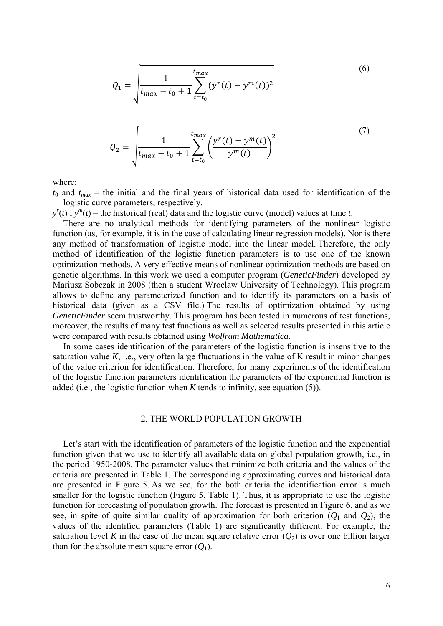$$
Q_1 = \sqrt{\frac{1}{t_{max} - t_0 + 1} \sum_{t=t_0}^{t_{max}} (y^r(t) - y^m(t))^2}
$$
 (6)

$$
Q_2 = \sqrt{\frac{1}{t_{max} - t_0 + 1} \sum_{t = t_0}^{t_{max}} \left( \frac{y^r(t) - y^m(t)}{y^m(t)} \right)^2}
$$
(7)

where:

 $t_0$  and  $t_{max}$  – the initial and the final years of historical data used for identification of the logistic curve parameters, respectively.

 $y'(t)$  i  $y'''(t)$  – the historical (real) data and the logistic curve (model) values at time *t*.

There are no analytical methods for identifying parameters of the nonlinear logistic function (as, for example, it is in the case of calculating linear regression models). Nor is there any method of transformation of logistic model into the linear model. Therefore, the only method of identification of the logistic function parameters is to use one of the known optimization methods. A very effective means of nonlinear optimization methods are based on genetic algorithms. In this work we used a computer program (*GeneticFinder*) developed by Mariusz Sobczak in 2008 (then a student Wroclaw University of Technology). This program allows to define any parameterized function and to identify its parameters on a basis of historical data (given as a CSV file.) The results of optimization obtained by using *GeneticFinder* seem trustworthy. This program has been tested in numerous of test functions, moreover, the results of many test functions as well as selected results presented in this article were compared with results obtained using *Wolfram Mathematica*.

In some cases identification of the parameters of the logistic function is insensitive to the saturation value *K*, i.e., very often large fluctuations in the value of K result in minor changes of the value criterion for identification. Therefore, for many experiments of the identification of the logistic function parameters identification the parameters of the exponential function is added (i.e., the logistic function when *K* tends to infinity, see equation (5)).

# 2. THE WORLD POPULATION GROWTH

Let's start with the identification of parameters of the logistic function and the exponential function given that we use to identify all available data on global population growth, i.e., in the period 1950-2008. The parameter values that minimize both criteria and the values of the criteria are presented in Table 1. The corresponding approximating curves and historical data are presented in Figure 5. As we see, for the both criteria the identification error is much smaller for the logistic function (Figure 5, Table 1). Thus, it is appropriate to use the logistic function for forecasting of population growth. The forecast is presented in Figure 6, and as we see, in spite of quite similar quality of approximation for both criterion  $(Q_1$  and  $Q_2)$ , the values of the identified parameters (Table 1) are significantly different. For example, the saturation level *K* in the case of the mean square relative error  $(Q_2)$  is over one billion larger than for the absolute mean square error  $(Q_1)$ .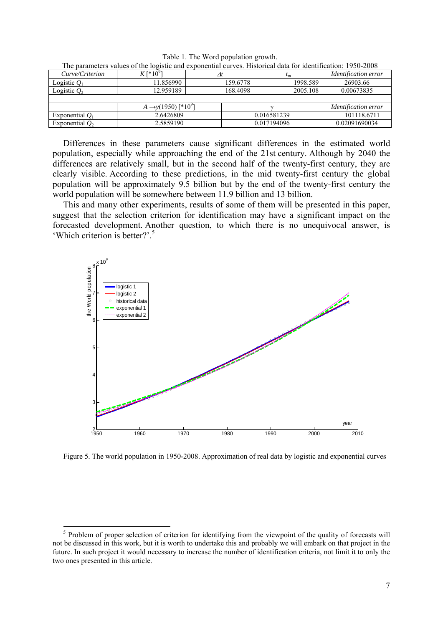| Curve/Criterion   | $K$ [*10 <sup>9</sup>                       |          | $\iota_m$   | <i><u><b>Identification error</b></u></i> |
|-------------------|---------------------------------------------|----------|-------------|-------------------------------------------|
| Logistic $Q_1$    | 11.856990                                   | 159.6778 | 1998.589    | 26903.66                                  |
| Logistic $Q_2$    | 12.959189                                   | 168.4098 | 2005.108    | 0.00673835                                |
|                   |                                             |          |             |                                           |
|                   | $A \rightarrow y(1950)$ [*10 <sup>9</sup> ] |          |             | <i>Identification error</i>               |
| Exponential $Q_1$ | 2.6426809                                   |          | 0.016581239 | 101118.6711                               |
| Exponential $Q_2$ | 2.5859190                                   |          | 0.017194096 |                                           |

Table 1. The Word population growth. The parameters values of the logistic and exponential curves. Historical data for identification: 1950-2008

Differences in these parameters cause significant differences in the estimated world population, especially while approaching the end of the 21st century. Although by 2040 the differences are relatively small, but in the second half of the twenty-first century, they are clearly visible. According to these predictions, in the mid twenty-first century the global population will be approximately 9.5 billion but by the end of the twenty-first century the world population will be somewhere between 11.9 billion and 13 billion.

This and many other experiments, results of some of them will be presented in this paper, suggest that the selection criterion for identification may have a significant impact on the forecasted development. Another question, to which there is no unequivocal answer, is 'Which criterion is better?'.5



Figure 5. The world population in 1950-2008. Approximation of real data by logistic and exponential curves

1

<sup>&</sup>lt;sup>5</sup> Problem of proper selection of criterion for identifying from the viewpoint of the quality of forecasts will not be discussed in this work, but it is worth to undertake this and probably we will embark on that project in the future. In such project it would necessary to increase the number of identification criteria, not limit it to only the two ones presented in this article.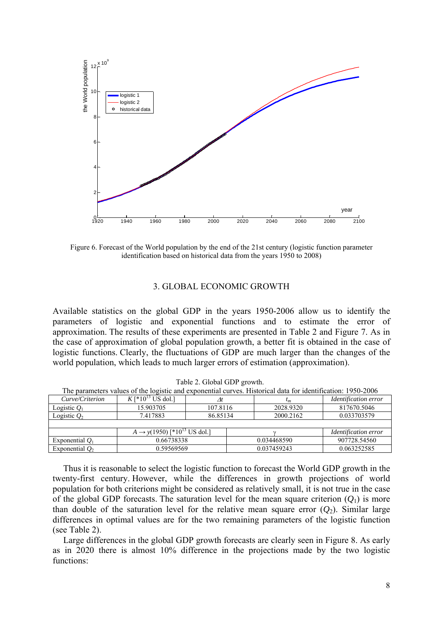

Figure 6. Forecast of the World population by the end of the 21st century (logistic function parameter identification based on historical data from the years 1950 to 2008)

# 3. GLOBAL ECONOMIC GROWTH

Available statistics on the global GDP in the years 1950-2006 allow us to identify the parameters of logistic and exponential functions and to estimate the error of approximation. The results of these experiments are presented in Table 2 and Figure 7. As in the case of approximation of global population growth, a better fit is obtained in the case of logistic functions. Clearly, the fluctuations of GDP are much larger than the changes of the world population, which leads to much larger errors of estimation (approximation).

| Curve/Criterion   | $K$ [*10 <sup>13</sup> US dol.]                     |          | $\iota_m$   | <i><u><b>Identification error</b></u></i> |  |  |
|-------------------|-----------------------------------------------------|----------|-------------|-------------------------------------------|--|--|
| Logistic $Q_1$    | 15.903705                                           | 107.8116 | 2028.9320   | 817670.5046                               |  |  |
| Logistic $Q_2$    | 7.417883                                            | 86.85134 | 2000.2162   | 0.033703579                               |  |  |
|                   |                                                     |          |             |                                           |  |  |
|                   | $A \rightarrow y(1950)$ [*10 <sup>13</sup> US dol.] |          |             | <i><u><b>Identification error</b></u></i> |  |  |
| Exponential $Q_1$ | 0.66738338                                          |          | 0.034468590 | 907728.54560                              |  |  |
| Exponential $O2$  | 0.59569569                                          |          | 0.037459243 | 0.063252585                               |  |  |

| Table 2. Global GDP growth.                                                                                 |
|-------------------------------------------------------------------------------------------------------------|
| The parameters values of the logistic and exponential curves. Historical data for identification: 1950-2006 |

Thus it is reasonable to select the logistic function to forecast the World GDP growth in the twenty-first century. However, while the differences in growth projections of world population for both criterions might be considered as relatively small, it is not true in the case of the global GDP forecasts. The saturation level for the mean square criterion  $(O_1)$  is more than double of the saturation level for the relative mean square error  $(O_2)$ . Similar large differences in optimal values are for the two remaining parameters of the logistic function (see Table 2).

Large differences in the global GDP growth forecasts are clearly seen in Figure 8. As early as in 2020 there is almost 10% difference in the projections made by the two logistic functions: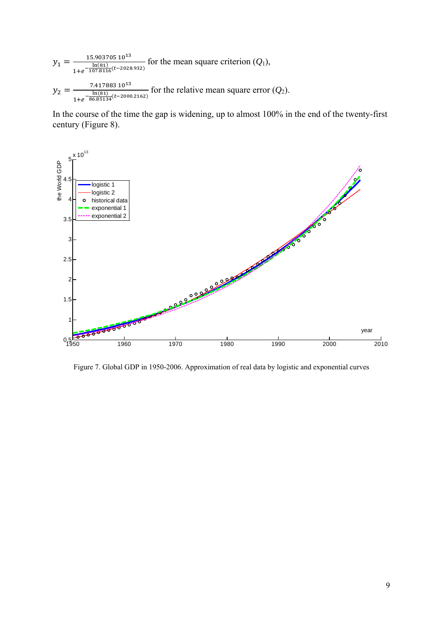$$
y_1 = \frac{15.903705 \, 10^{13}}{1 + e^{-\frac{\ln(81)}{107.8116}(t - 2028.932)}}
$$
 for the mean square criterion  $(Q_1)$ ,  
\n
$$
y_2 = \frac{7.417883 \, 10^{13}}{1 + e^{-\frac{\ln(81)}{86.85134}(t - 2000.2162)}}
$$
 for the relative mean square error  $(Q_2)$ .

In the course of the time the gap is widening, up to almost 100% in the end of the twenty-first century (Figure 8).



Figure 7. Global GDP in 1950-2006. Approximation of real data by logistic and exponential curves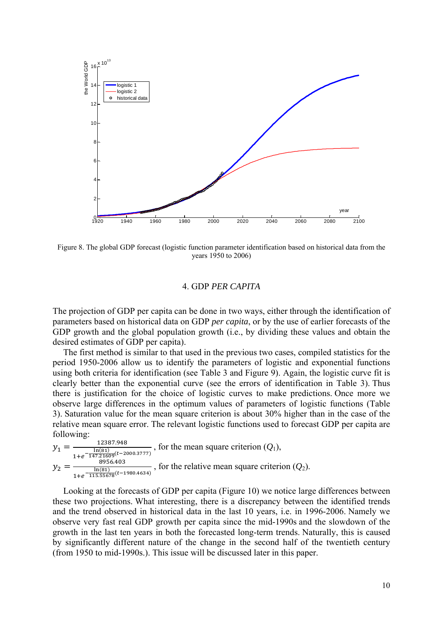

Figure 8. The global GDP forecast (logistic function parameter identification based on historical data from the years 1950 to 2006)

# 4. GDP *PER CAPITA*

The projection of GDP per capita can be done in two ways, either through the identification of parameters based on historical data on GDP *per capita*, or by the use of earlier forecasts of the GDP growth and the global population growth (i.e., by dividing these values and obtain the desired estimates of GDP per capita).

The first method is similar to that used in the previous two cases, compiled statistics for the period 1950-2006 allow us to identify the parameters of logistic and exponential functions using both criteria for identification (see Table 3 and Figure 9). Again, the logistic curve fit is clearly better than the exponential curve (see the errors of identification in Table 3). Thus there is justification for the choice of logistic curves to make predictions. Once more we observe large differences in the optimum values of parameters of logistic functions (Table 3). Saturation value for the mean square criterion is about 30% higher than in the case of the relative mean square error. The relevant logistic functions used to forecast GDP per capita are following:

 $y_1 = \frac{12387.948}{\ln(81)}$  $1+e^{-\frac{\ln(81)}{147.21609}(t-2000.3777)}$  , for the mean square criterion (*Q*1),  $y_2 = \frac{8956.403}{\ln(81) \cdot \ln(81)}$  $\frac{\ln(81)}{1+e^{-\frac{115.55678}{115.55678}}(t-1980.4634)}$ , for the relative mean square criterion  $(Q_2)$ .

Looking at the forecasts of GDP per capita (Figure 10) we notice large differences between these two projections. What interesting, there is a discrepancy between the identified trends and the trend observed in historical data in the last 10 years, i.e. in 1996-2006. Namely we observe very fast real GDP growth per capita since the mid-1990s and the slowdown of the growth in the last ten years in both the forecasted long-term trends. Naturally, this is caused by significantly different nature of the change in the second half of the twentieth century (from 1950 to mid-1990s.). This issue will be discussed later in this paper.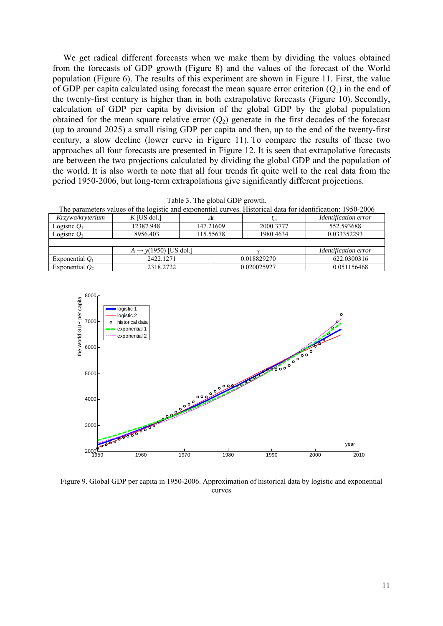We get radical different forecasts when we make them by dividing the values obtained from the forecasts of GDP growth (Figure 8) and the values of the forecast of the World population (Figure 6). The results of this experiment are shown in Figure 11. First, the value of GDP per capita calculated using forecast the mean square error criterion  $(Q_1)$  in the end of the twenty-first century is higher than in both extrapolative forecasts (Figure 10). Secondly, calculation of GDP per capita by division of the global GDP by the global population obtained for the mean square relative error  $(Q_2)$  generate in the first decades of the forecast (up to around 2025) a small rising GDP per capita and then, up to the end of the twenty-first century, a slow decline (lower curve in Figure 11). To compare the results of these two approaches all four forecasts are presented in Figure 12. It is seen that extrapolative forecasts are between the two projections calculated by dividing the global GDP and the population of the world. It is also worth to note that all four trends fit quite well to the real data from the period 1950-2006, but long-term extrapolations give significantly different projections.

|  |  |  |  | Table 3. The global GDP growth. |
|--|--|--|--|---------------------------------|
|--|--|--|--|---------------------------------|

The parameters values of the logistic and exponential curves. Historical data for identification: 1950-2006

| Krzywa/kryterium  | $K$ [US dol.]                     | $\varDelta t$ |             | $\iota_m$   | <i><u><b>Identification error</b></u></i> |           |            |  |
|-------------------|-----------------------------------|---------------|-------------|-------------|-------------------------------------------|-----------|------------|--|
| Logistic $Q_1$    | 12387.948                         | 147.21609     |             |             |                                           | 2000.3777 | 552.593688 |  |
| Logistic $Q_2$    | 8956.403                          | 115.55678     |             | 1980.4634   | 0.033352293                               |           |            |  |
|                   |                                   |               |             |             |                                           |           |            |  |
|                   | $A \rightarrow y(1950)$ [US dol.] |               |             |             | <i><u><b>Identification error</b></u></i> |           |            |  |
| Exponential $O_1$ | 2422.1271                         |               |             | 0.018829270 | 622.0300316                               |           |            |  |
| Exponential $Q_2$ | 2318.2722                         |               | 0.020025927 |             | 0.051156468                               |           |            |  |



Figure 9. Global GDP per capita in 1950-2006. Approximation of historical data by logistic and exponential curves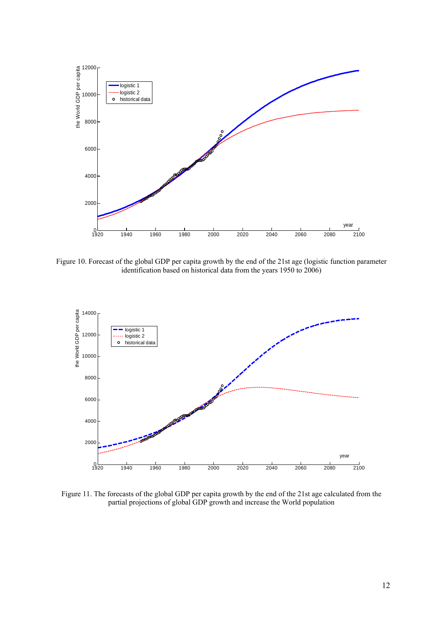

Figure 10. Forecast of the global GDP per capita growth by the end of the 21st age (logistic function parameter identification based on historical data from the years 1950 to 2006)



Figure 11. The forecasts of the global GDP per capita growth by the end of the 21st age calculated from the partial projections of global GDP growth and increase the World population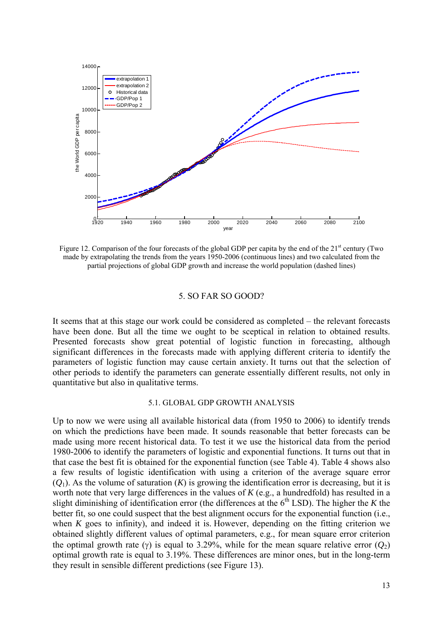

Figure 12. Comparison of the four forecasts of the global GDP per capita by the end of the  $21<sup>st</sup>$  century (Two made by extrapolating the trends from the years 1950-2006 (continuous lines) and two calculated from the partial projections of global GDP growth and increase the world population (dashed lines)

#### 5. SO FAR SO GOOD?

It seems that at this stage our work could be considered as completed – the relevant forecasts have been done. But all the time we ought to be sceptical in relation to obtained results. Presented forecasts show great potential of logistic function in forecasting, although significant differences in the forecasts made with applying different criteria to identify the parameters of logistic function may cause certain anxiety. It turns out that the selection of other periods to identify the parameters can generate essentially different results, not only in quantitative but also in qualitative terms.

## 5.1. GLOBAL GDP GROWTH ANALYSIS

Up to now we were using all available historical data (from 1950 to 2006) to identify trends on which the predictions have been made. It sounds reasonable that better forecasts can be made using more recent historical data. To test it we use the historical data from the period 1980-2006 to identify the parameters of logistic and exponential functions. It turns out that in that case the best fit is obtained for the exponential function (see Table 4). Table 4 shows also a few results of logistic identification with using a criterion of the average square error  $(Q_1)$ . As the volume of saturation  $(K)$  is growing the identification error is decreasing, but it is worth note that very large differences in the values of *K* (e.g., a hundredfold) has resulted in a slight diminishing of identification error (the differences at the  $6<sup>th</sup>$  LSD). The higher the *K* the better fit, so one could suspect that the best alignment occurs for the exponential function (i.e., when *K* goes to infinity), and indeed it is. However, depending on the fitting criterion we obtained slightly different values of optimal parameters, e.g., for mean square error criterion the optimal growth rate (γ) is equal to 3.29%, while for the mean square relative error  $(Q_2)$ optimal growth rate is equal to 3.19%. These differences are minor ones, but in the long-term they result in sensible different predictions (see Figure 13).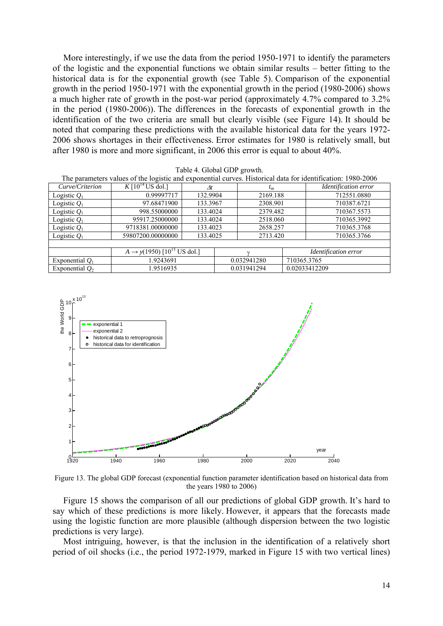More interestingly, if we use the data from the period 1950-1971 to identify the parameters of the logistic and the exponential functions we obtain similar results – better fitting to the historical data is for the exponential growth (see Table 5). Comparison of the exponential growth in the period 1950-1971 with the exponential growth in the period (1980-2006) shows a much higher rate of growth in the post-war period (approximately 4.7% compared to 3.2% in the period (1980-2006)). The differences in the forecasts of exponential growth in the identification of the two criteria are small but clearly visible (see Figure 14). It should be noted that comparing these predictions with the available historical data for the years 1972- 2006 shows shortages in their effectiveness. Error estimates for 1980 is relatively small, but after 1980 is more and more significant, in 2006 this error is equal to about 40%.

|  |  |  | Table 4. Global GDP growth. |
|--|--|--|-----------------------------|
|--|--|--|-----------------------------|

| The parameters values of the logistic and exponential curves. Historical data for identification: 1980-2006 |                                             |          |  |             |  |                      |                      |
|-------------------------------------------------------------------------------------------------------------|---------------------------------------------|----------|--|-------------|--|----------------------|----------------------|
| Curve/Criterion                                                                                             | K $[10^{14}$ US dol.]                       | At       |  | $t_m$       |  |                      | Identification error |
| Logistic $Q_1$                                                                                              | 0.99997717                                  | 132.9904 |  | 2169.188    |  |                      | 712551.0880          |
| Logistic $Q_1$                                                                                              | 97.68471900                                 | 133.3967 |  | 2308.901    |  |                      | 710387.6721          |
| Logistic $Q_1$                                                                                              | 998.55000000                                | 133.4024 |  | 2379.482    |  |                      | 710367.5573          |
| Logistic $Q_1$                                                                                              | 95917.25000000                              | 133.4024 |  | 2518.060    |  |                      | 710365.3992          |
| Logistic $Q_1$                                                                                              | 9718381.00000000                            | 133.4023 |  | 2658.257    |  |                      | 710365.3768          |
| Logistic $Q_1$                                                                                              | 59807200.00000000                           | 133.4025 |  | 2713.420    |  |                      | 710365.3766          |
|                                                                                                             |                                             |          |  |             |  |                      |                      |
|                                                                                                             | $A \rightarrow y(1950)$ $[10^{13}$ US dol.] |          |  |             |  | Identification error |                      |
| Exponential $Q_1$                                                                                           | 1.9243691                                   |          |  | 0.032941280 |  | 710365.3765          |                      |
| Exponential $Q_2$                                                                                           | 1.9516935                                   |          |  | 0.031941294 |  | 0.02033412209        |                      |



Figure 13. The global GDP forecast (exponential function parameter identification based on historical data from the years 1980 to 2006)

Figure 15 shows the comparison of all our predictions of global GDP growth. It's hard to say which of these predictions is more likely. However, it appears that the forecasts made using the logistic function are more plausible (although dispersion between the two logistic predictions is very large).

Most intriguing, however, is that the inclusion in the identification of a relatively short period of oil shocks (i.e., the period 1972-1979, marked in Figure 15 with two vertical lines)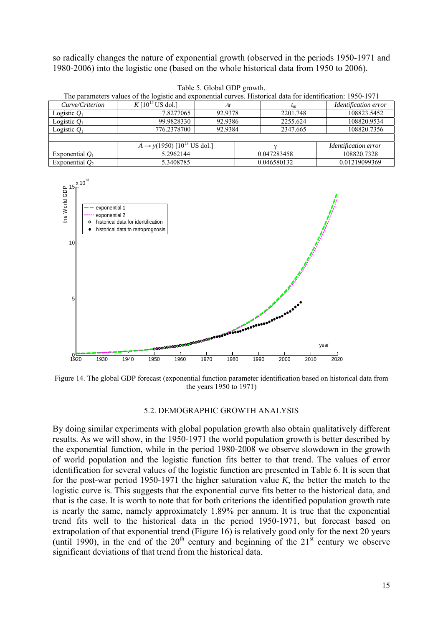so radically changes the nature of exponential growth (observed in the periods 1950-1971 and 1980-2006) into the logistic one (based on the whole historical data from 1950 to 2006).

| The parameters values of the logistic and exponential curves. Historical data for identification: 1950-1971 |                                                    |         |             |           |                      |  |  |
|-------------------------------------------------------------------------------------------------------------|----------------------------------------------------|---------|-------------|-----------|----------------------|--|--|
| Curve/Criterion                                                                                             | K $[10^{15}$ US dol.]                              | Λt      |             | $\iota_m$ | Identification error |  |  |
| Logistic $Q_1$                                                                                              | 7.8277065                                          | 92.9378 |             | 2201.748  | 108823.5452          |  |  |
| Logistic $Q_1$                                                                                              | 99.9828330                                         | 92.9386 |             | 2255.624  | 108820.9534          |  |  |
| Logistic $Q_1$                                                                                              | 776.2378700                                        | 92.9384 |             | 2347.665  | 108820.7356          |  |  |
|                                                                                                             |                                                    |         |             |           |                      |  |  |
|                                                                                                             | $A \rightarrow y(1950)$ [10 <sup>13</sup> US dol.] |         |             |           | Identification error |  |  |
| Exponential $O_1$                                                                                           | 5.2962144                                          |         | 0.047283458 |           | 108820.7328          |  |  |
| Exponential $O2$                                                                                            | 5.3408785                                          |         | 0.046580132 |           | 0.01219099369        |  |  |

|  |  |  | Table 5. Global GDP growth. |
|--|--|--|-----------------------------|
|--|--|--|-----------------------------|



Figure 14. The global GDP forecast (exponential function parameter identification based on historical data from the years 1950 to 1971)

## 5.2. DEMOGRAPHIC GROWTH ANALYSIS

By doing similar experiments with global population growth also obtain qualitatively different results. As we will show, in the 1950-1971 the world population growth is better described by the exponential function, while in the period 1980-2008 we observe slowdown in the growth of world population and the logistic function fits better to that trend. The values of error identification for several values of the logistic function are presented in Table 6. It is seen that for the post-war period 1950-1971 the higher saturation value *K*, the better the match to the logistic curve is. This suggests that the exponential curve fits better to the historical data, and that is the case. It is worth to note that for both criterions the identified population growth rate is nearly the same, namely approximately 1.89% per annum. It is true that the exponential trend fits well to the historical data in the period 1950-1971, but forecast based on extrapolation of that exponential trend (Figure 16) is relatively good only for the next 20 years (until 1990), in the end of the  $20<sup>th</sup>$  century and beginning of the  $21<sup>st</sup>$  century we observe significant deviations of that trend from the historical data.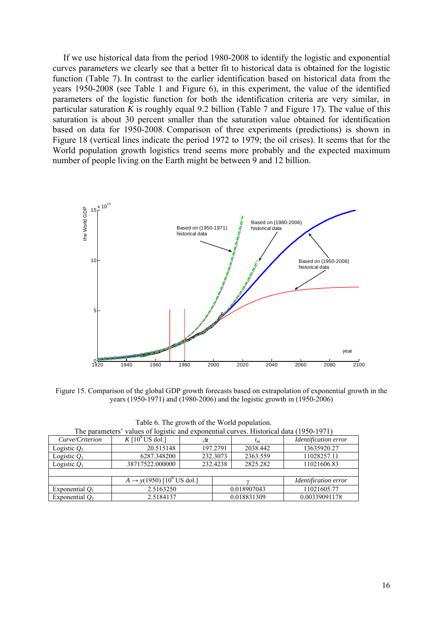If we use historical data from the period 1980-2008 to identify the logistic and exponential curves parameters we clearly see that a better fit to historical data is obtained for the logistic function (Table 7). In contrast to the earlier identification based on historical data from the years 1950-2008 (see Table 1 and Figure 6), in this experiment, the value of the identified parameters of the logistic function for both the identification criteria are very similar, in particular saturation *K* is roughly equal 9.2 billion (Table 7 and Figure 17). The value of this saturation is about 30 percent smaller than the saturation value obtained for identification based on data for 1950-2008. Comparison of three experiments (predictions) is shown in Figure 18 (vertical lines indicate the period 1972 to 1979; the oil crises). It seems that for the World population growth logistics trend seems more probably and the expected maximum number of people living on the Earth might be between 9 and 12 billion.



Figure 15. Comparison of the global GDP growth forecasts based on extrapolation of exponential growth in the years (1950-1971) and (1980-2006) and the logistic growth in (1950-2006)

| The parameters' values of logistic and exponential curves. Historical data (1950-1971) |                                                   |          |             |          |                      |  |  |
|----------------------------------------------------------------------------------------|---------------------------------------------------|----------|-------------|----------|----------------------|--|--|
| Curve/Criterion                                                                        | K $[10^9$ US dol.]                                | At       |             | $t_m$    | Identification error |  |  |
| Logistic $Q_1$                                                                         | 20.515148                                         | 197.2791 |             | 2038.442 | 13635920.27          |  |  |
| Logistic $Q_1$                                                                         | 6287.348200                                       | 232.3073 |             | 2363.559 | 11028257.11          |  |  |
| Logistic $O_1$                                                                         | 38717522,000000                                   | 232.4238 |             | 2825.282 | 11021606.83          |  |  |
|                                                                                        |                                                   |          |             |          |                      |  |  |
|                                                                                        | $A \rightarrow y(1950)$ [10 <sup>9</sup> US dol.] |          |             |          | Identification error |  |  |
| Exponential $O_1$                                                                      | 2.5163250                                         |          | 0.018907043 |          | 11021605.77          |  |  |
| Exponential $Q_2$                                                                      | 2.5184137                                         |          | 0.018831309 |          | 0.00339091178        |  |  |

Table 6. The growth of the World population.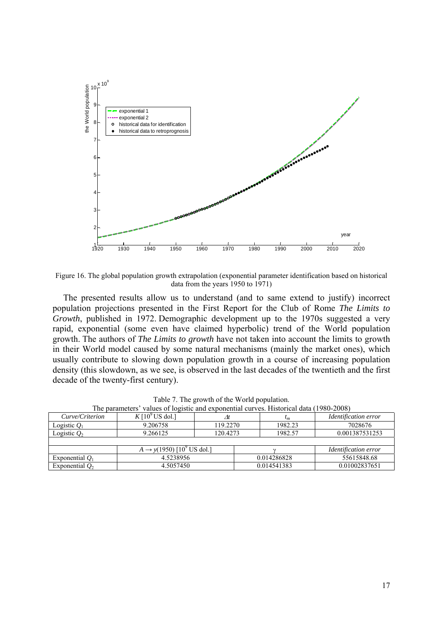

Figure 16. The global population growth extrapolation (exponential parameter identification based on historical data from the years 1950 to 1971)

The presented results allow us to understand (and to same extend to justify) incorrect population projections presented in the First Report for the Club of Rome *The Limits to Growth*, published in 1972. Demographic development up to the 1970s suggested a very rapid, exponential (some even have claimed hyperbolic) trend of the World population growth. The authors of *The Limits to growth* have not taken into account the limits to growth in their World model caused by some natural mechanisms (mainly the market ones), which usually contribute to slowing down population growth in a course of increasing population density (this slowdown, as we see, is observed in the last decades of the twentieth and the first decade of the twenty-first century).

| The parameters' values of logistic and exponential curves. Historical data (1980-2008) |                                          |          |             |             |                             |  |  |
|----------------------------------------------------------------------------------------|------------------------------------------|----------|-------------|-------------|-----------------------------|--|--|
| Curve/Criterion                                                                        | $K[10^9$ US dol.]                        |          |             | $\iota_m$   | Identification error        |  |  |
| Logistic $Q_1$                                                                         | 9.206758                                 | 119.2270 |             | 1982.23     | 7028676                     |  |  |
| Logistic $Q_2$                                                                         | 9.266125                                 | 120.4273 |             | 1982.57     | 0.001387531253              |  |  |
|                                                                                        |                                          |          |             |             |                             |  |  |
|                                                                                        | $A \rightarrow y(1950)$ $[10^9$ US dol.] |          |             |             | <i>Identification error</i> |  |  |
| Exponential $Q_1$                                                                      | 4.5238956                                |          | 0.014286828 |             | 55615848.68                 |  |  |
| Exponential $Q_2$                                                                      | 4.5057450                                |          |             | 0.014541383 | 0.01002837651               |  |  |

Table 7. The growth of the World population.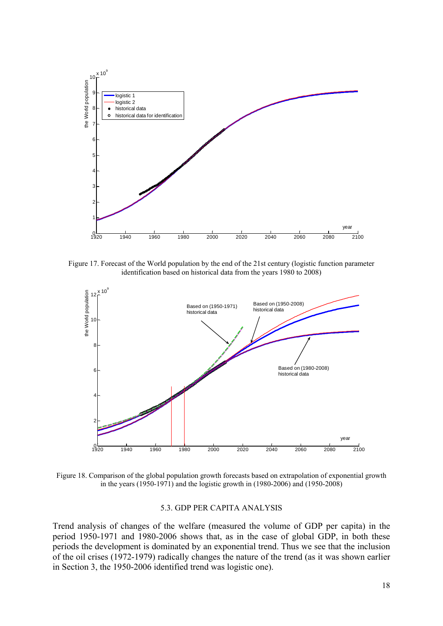

Figure 17. Forecast of the World population by the end of the 21st century (logistic function parameter identification based on historical data from the years 1980 to 2008)



Figure 18. Comparison of the global population growth forecasts based on extrapolation of exponential growth in the years (1950-1971) and the logistic growth in (1980-2006) and (1950-2008)

## 5.3. GDP PER CAPITA ANALYSIS

Trend analysis of changes of the welfare (measured the volume of GDP per capita) in the period 1950-1971 and 1980-2006 shows that, as in the case of global GDP, in both these periods the development is dominated by an exponential trend. Thus we see that the inclusion of the oil crises (1972-1979) radically changes the nature of the trend (as it was shown earlier in Section 3, the 1950-2006 identified trend was logistic one).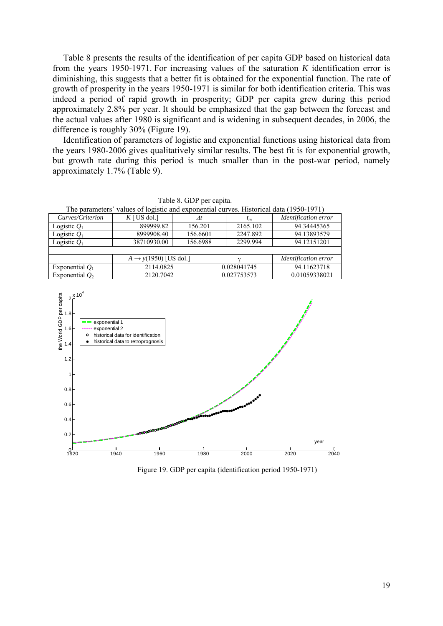Table 8 presents the results of the identification of per capita GDP based on historical data from the years 1950-1971. For increasing values of the saturation *K* identification error is diminishing, this suggests that a better fit is obtained for the exponential function. The rate of growth of prosperity in the years 1950-1971 is similar for both identification criteria. This was indeed a period of rapid growth in prosperity; GDP per capita grew during this period approximately 2.8% per year. It should be emphasized that the gap between the forecast and the actual values after 1980 is significant and is widening in subsequent decades, in 2006, the difference is roughly 30% (Figure 19).

Identification of parameters of logistic and exponential functions using historical data from the years 1980-2006 gives qualitatively similar results. The best fit is for exponential growth, but growth rate during this period is much smaller than in the post-war period, namely approximately 1.7% (Table 9).

| raone of ODT per eaplies.                                                              |                                   |               |             |          |                      |  |  |
|----------------------------------------------------------------------------------------|-----------------------------------|---------------|-------------|----------|----------------------|--|--|
| The parameters' values of logistic and exponential curves. Historical data (1950-1971) |                                   |               |             |          |                      |  |  |
| Curves/Criterion                                                                       | $K$ [ US dol.]                    | $\varDelta t$ |             | $t_m$    | Identification error |  |  |
| Logistic $Q_1$                                                                         | 899999.82                         | 156.201       |             | 2165.102 | 94.34445365          |  |  |
| Logistic $Q_1$                                                                         | 8999908.40                        | 156.6601      |             | 2247.892 | 94.13893579          |  |  |
| Logistic $Q_1$                                                                         | 38710930.00                       | 156.6988      |             | 2299.994 | 94.12151201          |  |  |
|                                                                                        |                                   |               |             |          |                      |  |  |
|                                                                                        | $A \rightarrow y(1950)$ [US dol.] |               |             |          | Identification error |  |  |
| Exponential $Q_1$                                                                      | 2114.0825                         |               | 0.028041745 |          | 94.11623718          |  |  |
| Exponential $O2$                                                                       | 2120.7042                         |               | 0.027753573 |          | 0.01059338021        |  |  |

 $2^{x 10^{x}}$ per capita the World GDP per capita 1.8 the World GDP exponential 1 1.6 exponential 2  $\circ$ historical data for identification historical data to retroprognosis1.4 1.2 1 0.8 0.6 0.4 0.2 year  $^{0}$ 1920 1940 1960 1980 2000 2020 2040

Figure 19. GDP per capita (identification period 1950-1971)

19

Table 8. GDP per capita.

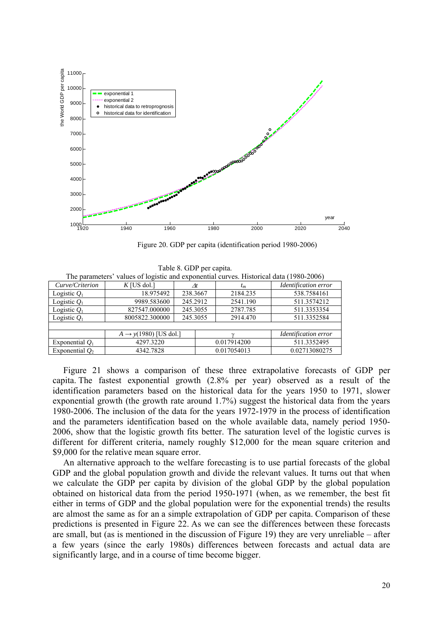

Figure 20. GDP per capita (identification period 1980-2006)

|                   | The parameters $\theta$ ranges of registre and exponential carves. This concernation (1700 2000) |          |          |             |                      |  |  |  |  |
|-------------------|--------------------------------------------------------------------------------------------------|----------|----------|-------------|----------------------|--|--|--|--|
| Curve/Criterion   | $K$ [US dol.]                                                                                    | Λt       |          | $t_m$       | Identification error |  |  |  |  |
| Logistic $Q_1$    | 18.975492                                                                                        | 238.3667 |          | 2184.235    | 538.7584161          |  |  |  |  |
| Logistic $Q_1$    | 9989.583600                                                                                      | 245.2912 |          | 2541.190    | 511.3574212          |  |  |  |  |
| Logistic $Q_1$    | 827547.000000                                                                                    | 245.3055 | 2787.785 |             | 511.3353354          |  |  |  |  |
| Logistic $O_1$    | 8005822.300000                                                                                   | 245.3055 |          | 2914.470    | 511.3352584          |  |  |  |  |
|                   |                                                                                                  |          |          |             |                      |  |  |  |  |
|                   | $A \rightarrow y(1980)$ [US dol.]                                                                |          |          |             | Identification error |  |  |  |  |
| Exponential $Q_1$ | 4297.3220                                                                                        |          |          | 0.017914200 | 511.3352495          |  |  |  |  |
| Exponential $O2$  | 4342.7828                                                                                        |          |          | 0.017054013 | 0.02713080275        |  |  |  |  |
|                   |                                                                                                  |          |          |             |                      |  |  |  |  |

Table 8. GDP per capita. values of logistic and exponential curves. Historical data (1980-2006)

Figure 21 shows a comparison of these three extrapolative forecasts of GDP per capita. The fastest exponential growth (2.8% per year) observed as a result of the identification parameters based on the historical data for the years 1950 to 1971, slower exponential growth (the growth rate around 1.7%) suggest the historical data from the years 1980-2006. The inclusion of the data for the years 1972-1979 in the process of identification and the parameters identification based on the whole available data, namely period 1950- 2006, show that the logistic growth fits better. The saturation level of the logistic curves is different for different criteria, namely roughly \$12,000 for the mean square criterion and \$9,000 for the relative mean square error.

An alternative approach to the welfare forecasting is to use partial forecasts of the global GDP and the global population growth and divide the relevant values. It turns out that when we calculate the GDP per capita by division of the global GDP by the global population obtained on historical data from the period 1950-1971 (when, as we remember, the best fit either in terms of GDP and the global population were for the exponential trends) the results are almost the same as for an a simple extrapolation of GDP per capita. Comparison of these predictions is presented in Figure 22. As we can see the differences between these forecasts are small, but (as is mentioned in the discussion of Figure 19) they are very unreliable – after a few years (since the early 1980s) differences between forecasts and actual data are significantly large, and in a course of time become bigger.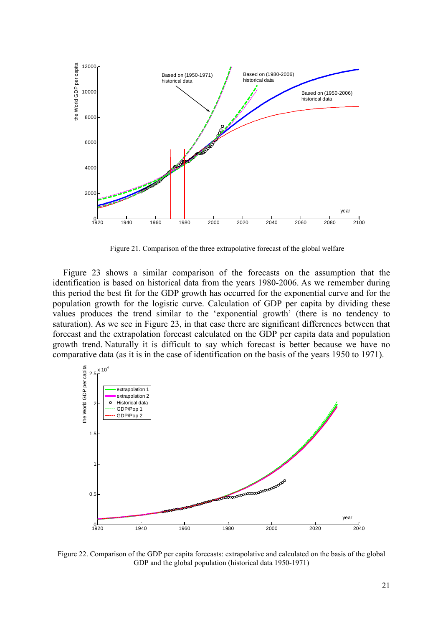

Figure 21. Comparison of the three extrapolative forecast of the global welfare

Figure 23 shows a similar comparison of the forecasts on the assumption that the identification is based on historical data from the years 1980-2006. As we remember during this period the best fit for the GDP growth has occurred for the exponential curve and for the population growth for the logistic curve. Calculation of GDP per capita by dividing these values produces the trend similar to the 'exponential growth' (there is no tendency to saturation). As we see in Figure 23, in that case there are significant differences between that forecast and the extrapolation forecast calculated on the GDP per capita data and population growth trend. Naturally it is difficult to say which forecast is better because we have no comparative data (as it is in the case of identification on the basis of the years 1950 to 1971).



Figure 22. Comparison of the GDP per capita forecasts: extrapolative and calculated on the basis of the global GDP and the global population (historical data 1950-1971)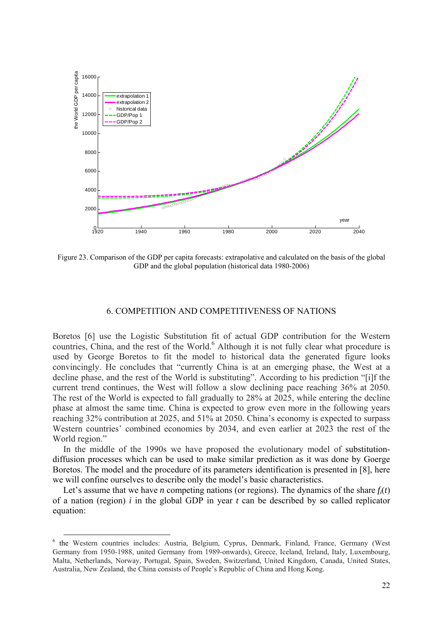

Figure 23. Comparison of the GDP per capita forecasts: extrapolative and calculated on the basis of the global GDP and the global population (historical data 1980-2006)

## 6. COMPETITION AND COMPETITIVENESS OF NATIONS

Boretos [6] use the Logistic Substitution fit of actual GDP contribution for the Western countries, China, and the rest of the World.<sup>6</sup> Although it is not fully clear what procedure is used by George Boretos to fit the model to historical data the generated figure looks convincingly. He concludes that "currently China is at an emerging phase, the West at a decline phase, and the rest of the World is substituting". According to his prediction "[i]f the current trend continues, the West will follow a slow declining pace reaching 36% at 2050. The rest of the World is expected to fall gradually to 28% at 2025, while entering the decline phase at almost the same time. China is expected to grow even more in the following years reaching 32% contribution at 2025, and 51% at 2050. China's economy is expected to surpass Western countries' combined economies by 2034, and even earlier at 2023 the rest of the World region."

In the middle of the 1990s we have proposed the evolutionary model of substitutiondiffusion processes which can be used to make similar prediction as it was done by Goerge Boretos. The model and the procedure of its parameters identification is presented in [8], here we will confine ourselves to describe only the model's basic characteristics.

Let's assume that we have *n* competing nations (or regions). The dynamics of the share  $f_i(t)$ of a nation (region) *i* in the global GDP in year *t* can be described by so called replicator equation:

 <sup>6</sup> the Western countries includes: Austria, Belgium, Cyprus, Denmark, Finland, France, Germany (West Germany from 1950-1988, united Germany from 1989-onwards), Greece, Iceland, Ireland, Italy, Luxembourg, Malta, Netherlands, Norway, Portugal, Spain, Sweden, Switzerland, United Kingdom, Canada, United States, Australia, New Zealand, the China consists of People's Republic of China and Hong Kong.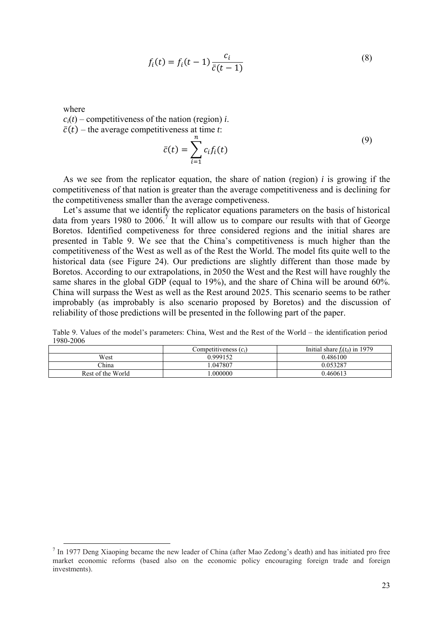$$
f_i(t) = f_i(t-1)\frac{c_i}{\bar{c}(t-1)}
$$
\n(8)

where

 $c_i(t)$  – competitiveness of the nation (region) *i*.

 $\bar{c}(t)$  – the average competitiveness at time *t*:

$$
\bar{c}(t) = \sum_{i=1}^{n} c_i f_i(t) \tag{9}
$$

As we see from the replicator equation, the share of nation (region) *i* is growing if the competitiveness of that nation is greater than the average competitiveness and is declining for the competitiveness smaller than the average competiveness.

Let's assume that we identify the replicator equations parameters on the basis of historical data from years 1980 to 2006.<sup>7</sup> It will allow us to compare our results with that of George Boretos. Identified competiveness for three considered regions and the initial shares are presented in Table 9. We see that the China's competitiveness is much higher than the competitiveness of the West as well as of the Rest the World. The model fits quite well to the historical data (see Figure 24). Our predictions are slightly different than those made by Boretos. According to our extrapolations, in 2050 the West and the Rest will have roughly the same shares in the global GDP (equal to 19%), and the share of China will be around 60%. China will surpass the West as well as the Rest around 2025. This scenario seems to be rather improbably (as improbably is also scenario proposed by Boretos) and the discussion of reliability of those predictions will be presented in the following part of the paper.

Table 9. Values of the model's parameters: China, West and the Rest of the World – the identification period 1980-2006

|                   | Competitiveness $(c_i)$ | Initial share $f_i(t_0)$ in 1979 |
|-------------------|-------------------------|----------------------------------|
| West              | 0.999152                | 0.486100                         |
| China             | .047807                 | 0.053287                         |
| Rest of the World | .000000                 | 0.460613                         |

<sup>&</sup>lt;sup>7</sup> In 1977 Deng Xiaoping became the new leader of China (after Mao Zedong's death) and has initiated pro free market economic reforms (based also on the economic policy encouraging foreign trade and foreign investments).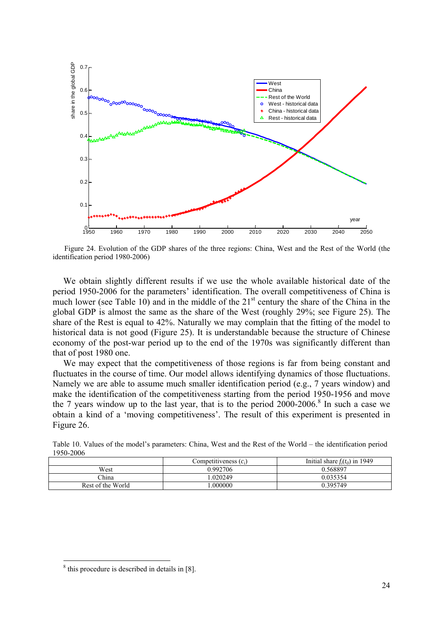

Figure 24. Evolution of the GDP shares of the three regions: China, West and the Rest of the World (the identification period 1980-2006)

We obtain slightly different results if we use the whole available historical date of the period 1950-2006 for the parameters' identification. The overall competitiveness of China is much lower (see Table 10) and in the middle of the  $21<sup>st</sup>$  century the share of the China in the global GDP is almost the same as the share of the West (roughly 29%; see Figure 25). The share of the Rest is equal to 42%. Naturally we may complain that the fitting of the model to historical data is not good (Figure 25). It is understandable because the structure of Chinese economy of the post-war period up to the end of the 1970s was significantly different than that of post 1980 one.

We may expect that the competitiveness of those regions is far from being constant and fluctuates in the course of time. Our model allows identifying dynamics of those fluctuations. Namely we are able to assume much smaller identification period (e.g., 7 years window) and make the identification of the competitiveness starting from the period 1950-1956 and move the 7 years window up to the last year, that is to the period  $2000-2006$ .<sup>8</sup> In such a case we obtain a kind of a 'moving competitiveness'. The result of this experiment is presented in Figure 26.

|                   | Competitiveness $(c_i)$ | Initial share $f_i(t_0)$ in 1949 |  |  |
|-------------------|-------------------------|----------------------------------|--|--|
| West              | 0.992706                | 0.568897                         |  |  |
| China -           | .020249                 | 0.035354                         |  |  |
| Rest of the World | .000000                 | 0.395749                         |  |  |

Table 10. Values of the model's parameters: China, West and the Rest of the World – the identification period 1950-2006

1

<sup>8</sup> this procedure is described in details in [8].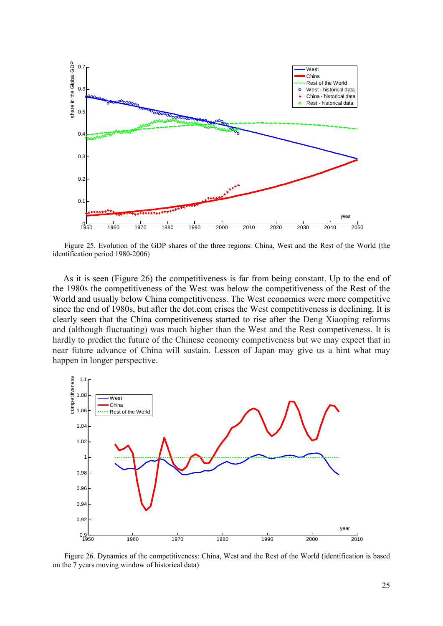

Figure 25. Evolution of the GDP shares of the three regions: China, West and the Rest of the World (the identification period 1980-2006)

As it is seen (Figure 26) the competitiveness is far from being constant. Up to the end of the 1980s the competitiveness of the West was below the competitiveness of the Rest of the World and usually below China competitiveness. The West economies were more competitive since the end of 1980s, but after the dot.com crises the West competitiveness is declining. It is clearly seen that the China competitiveness started to rise after the Deng Xiaoping reforms and (although fluctuating) was much higher than the West and the Rest competiveness. It is hardly to predict the future of the Chinese economy competiveness but we may expect that in near future advance of China will sustain. Lesson of Japan may give us a hint what may happen in longer perspective.



Figure 26. Dynamics of the competitiveness: China, West and the Rest of the World (identification is based on the 7 years moving window of historical data)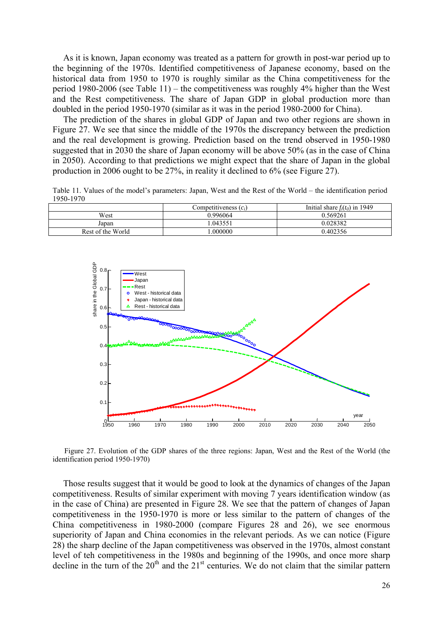As it is known, Japan economy was treated as a pattern for growth in post-war period up to the beginning of the 1970s. Identified competitiveness of Japanese economy, based on the historical data from 1950 to 1970 is roughly similar as the China competitiveness for the period 1980-2006 (see Table 11) – the competitiveness was roughly 4% higher than the West and the Rest competitiveness. The share of Japan GDP in global production more than doubled in the period 1950-1970 (similar as it was in the period 1980-2000 for China).

The prediction of the shares in global GDP of Japan and two other regions are shown in Figure 27. We see that since the middle of the 1970s the discrepancy between the prediction and the real development is growing. Prediction based on the trend observed in 1950-1980 suggested that in 2030 the share of Japan economy will be above 50% (as in the case of China in 2050). According to that predictions we might expect that the share of Japan in the global production in 2006 ought to be 27%, in reality it declined to 6% (see Figure 27).

Table 11. Values of the model's parameters: Japan, West and the Rest of the World – the identification period 1950-1970

|                   | Competitiveness $(c_i)$ | Initial share $f_i(t_0)$ in 1949 |
|-------------------|-------------------------|----------------------------------|
| West              | 0.996064                | 0.569261                         |
| Japan             | .043551                 | 0.028382                         |
| Rest of the World | .000000                 | 0.402356                         |



Figure 27. Evolution of the GDP shares of the three regions: Japan, West and the Rest of the World (the identification period 1950-1970)

Those results suggest that it would be good to look at the dynamics of changes of the Japan competitiveness. Results of similar experiment with moving 7 years identification window (as in the case of China) are presented in Figure 28. We see that the pattern of changes of Japan competitiveness in the 1950-1970 is more or less similar to the pattern of changes of the China competitiveness in 1980-2000 (compare Figures 28 and 26), we see enormous superiority of Japan and China economies in the relevant periods. As we can notice (Figure 28) the sharp decline of the Japan competitiveness was observed in the 1970s, almost constant level of teh competitiveness in the 1980s and beginning of the 1990s, and once more sharp decline in the turn of the  $20<sup>th</sup>$  and the  $21<sup>st</sup>$  centuries. We do not claim that the similar pattern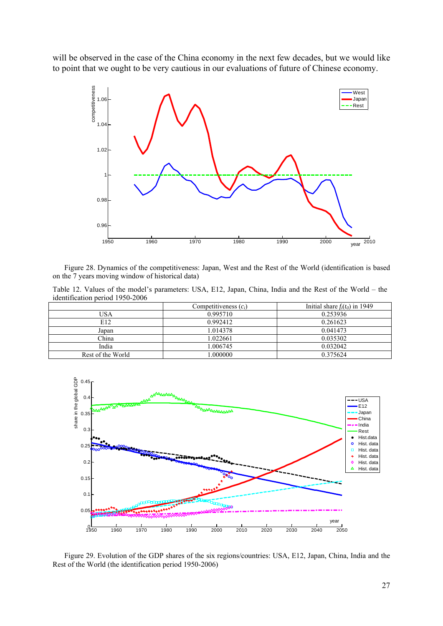will be observed in the case of the China economy in the next few decades, but we would like to point that we ought to be very cautious in our evaluations of future of Chinese economy.



Figure 28. Dynamics of the competitiveness: Japan, West and the Rest of the World (identification is based on the 7 years moving window of historical data)

Table 12. Values of the model's parameters: USA, E12, Japan, China, India and the Rest of the World – the identification period 1950-2006

|                   | Competitiveness $(c_i)$ | Initial share $f_i(t_0)$ in 1949 |
|-------------------|-------------------------|----------------------------------|
| USA               | 0.995710                | 0.253936                         |
| E12               | 0.992412                | 0.261623                         |
| Japan             | 1.014378                | 0.041473                         |
| China             | 1.022661                | 0.035302                         |
| India             | 1.006745                | 0.032042                         |
| Rest of the World | .000000                 | 0.375624                         |



Figure 29. Evolution of the GDP shares of the six regions/countries: USA, E12, Japan, China, India and the Rest of the World (the identification period 1950-2006)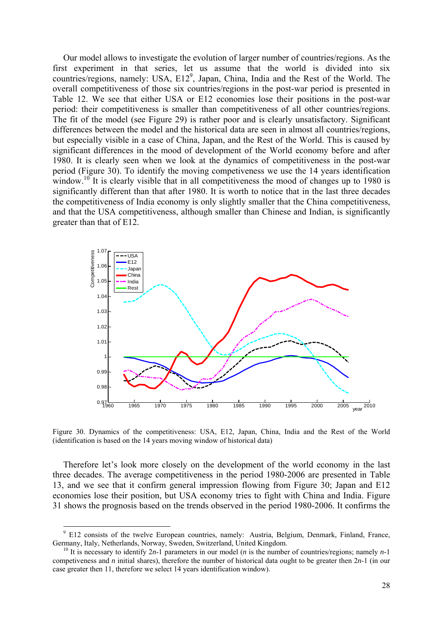Our model allows to investigate the evolution of larger number of countries/regions. As the first experiment in that series, let us assume that the world is divided into six countries/regions, namely: USA, E12<sup>9</sup>, Japan, China, India and the Rest of the World. The overall competitiveness of those six countries/regions in the post-war period is presented in Table 12. We see that either USA or E12 economies lose their positions in the post-war period: their competitiveness is smaller than competitiveness of all other countries/regions. The fit of the model (see Figure 29) is rather poor and is clearly unsatisfactory. Significant differences between the model and the historical data are seen in almost all countries/regions, but especially visible in a case of China, Japan, and the Rest of the World. This is caused by significant differences in the mood of development of the World economy before and after 1980. It is clearly seen when we look at the dynamics of competitiveness in the post-war period (Figure 30). To identify the moving competiveness we use the 14 years identification window.<sup>10</sup> It is clearly visible that in all competitiveness the mood of changes up to 1980 is significantly different than that after 1980. It is worth to notice that in the last three decades the competitiveness of India economy is only slightly smaller that the China competitiveness, and that the USA competitiveness, although smaller than Chinese and Indian, is significantly greater than that of E12.



Figure 30. Dynamics of the competitiveness: USA, E12, Japan, China, India and the Rest of the World (identification is based on the 14 years moving window of historical data)

Therefore let's look more closely on the development of the world economy in the last three decades. The average competitiveness in the period 1980-2006 are presented in Table 13, and we see that it confirm general impression flowing from Figure 30; Japan and E12 economies lose their position, but USA economy tries to fight with China and India. Figure 31 shows the prognosis based on the trends observed in the period 1980-2006. It confirms the

<sup>–&</sup>lt;br>9  $9$  E12 consists of the twelve European countries, namely: Austria, Belgium, Denmark, Finland, France, Germany, Italy, Netherlands, Norway, Sweden, Switzerland, United Kingdom.

<sup>&</sup>lt;sup>10</sup> It is necessary to identify 2*n*-1 parameters in our model (*n* is the number of countries/regions; namely *n*-1 competiveness and *n* initial shares), therefore the number of historical data ought to be greater then 2*n*-1 (in our case greater then 11, therefore we select 14 years identification window).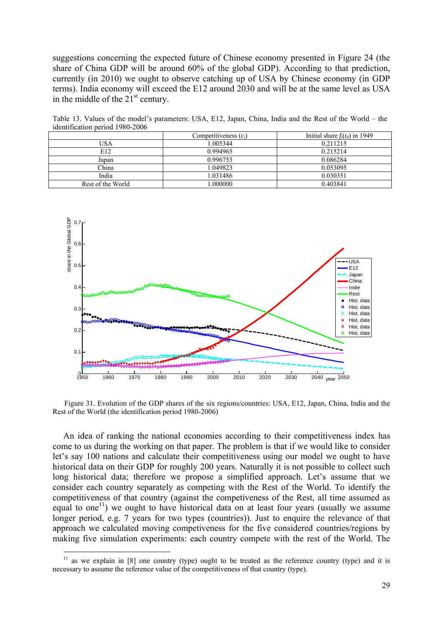suggestions concerning the expected future of Chinese economy presented in Figure 24 (the share of China GDP will be around 60% of the global GDP). According to that prediction, currently (in 2010) we ought to observe catching up of USA by Chinese economy (in GDP terms). India economy will exceed the E12 around 2030 and will be at the same level as USA in the middle of the  $21<sup>st</sup>$  century.

| Reflective period 1700 2000 |                         |                                  |
|-----------------------------|-------------------------|----------------------------------|
|                             | Competitiveness $(c_i)$ | Initial share $f_i(t_0)$ in 1949 |
| USA                         | 1.005344                | 0.211215                         |
| E12                         | 0.994965                | 0.215214                         |
| Japan                       | 0.996753                | 0.086284                         |
| China                       | 1.049823                | 0.053095                         |
| India                       | 1.031486                | 0.030351                         |
| Rest of the World           | .000000                 | 0.403841                         |

Table 13. Values of the model's parameters: USA, E12, Japan, China, India and the Rest of the World – the identification period 1980-2006



Figure 31. Evolution of the GDP shares of the six regions/countries: USA, E12, Japan, China, India and the Rest of the World (the identification period 1980-2006)

An idea of ranking the national economies according to their competitiveness index has come to us during the working on that paper. The problem is that if we would like to consider let's say 100 nations and calculate their competitiveness using our model we ought to have historical data on their GDP for roughly 200 years. Naturally it is not possible to collect such long historical data; therefore we propose a simplified approach. Let's assume that we consider each country separately as competing with the Rest of the World. To identify the competitiveness of that country (against the competiveness of the Rest, all time assumed as equal to one<sup>11</sup>) we ought to have historical data on at least four years (usually we assume longer period, e.g. 7 years for two types (countries)). Just to enquire the relevance of that approach we calculated moving competiveness for the five considered countries/regions by making five simulation experiments: each country compete with the rest of the World. The

1

as we explain in  $[8]$  one country (type) ought to be treated as the reference country (type) and it is necessary to assume the reference value of the competitiveness of that country (type).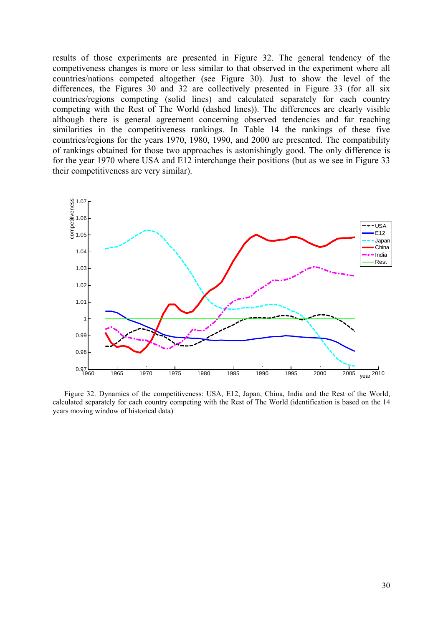results of those experiments are presented in Figure 32. The general tendency of the competiveness changes is more or less similar to that observed in the experiment where all countries/nations competed altogether (see Figure 30). Just to show the level of the differences, the Figures 30 and 32 are collectively presented in Figure 33 (for all six countries/regions competing (solid lines) and calculated separately for each country competing with the Rest of The World (dashed lines)). The differences are clearly visible although there is general agreement concerning observed tendencies and far reaching similarities in the competitiveness rankings. In Table 14 the rankings of these five countries/regions for the years 1970, 1980, 1990, and 2000 are presented. The compatibility of rankings obtained for those two approaches is astonishingly good. The only difference is for the year 1970 where USA and E12 interchange their positions (but as we see in Figure 33 their competitiveness are very similar).



Figure 32. Dynamics of the competitiveness: USA, E12, Japan, China, India and the Rest of the World, calculated separately for each country competing with the Rest of The World (identification is based on the 14 years moving window of historical data)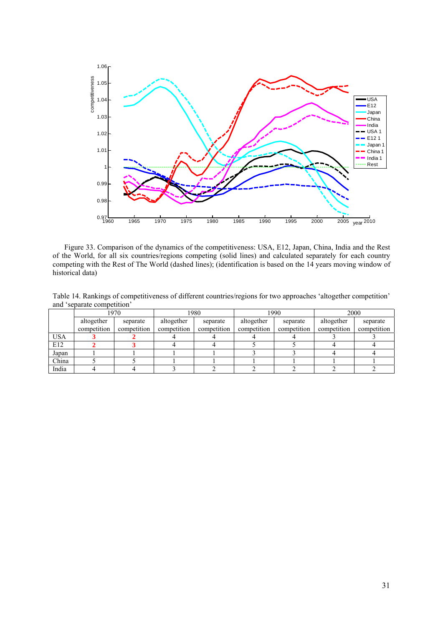

Figure 33. Comparison of the dynamics of the competitiveness: USA, E12, Japan, China, India and the Rest of the World, for all six countries/regions competing (solid lines) and calculated separately for each country competing with the Rest of The World (dashed lines); (identification is based on the 14 years moving window of historical data)

Table 14. Rankings of competitiveness of different countries/regions for two approaches 'altogether competition' and 'separate competition'

|            | 1970        |             | 1980        |             |             | 1990                   | 2000        |             |  |
|------------|-------------|-------------|-------------|-------------|-------------|------------------------|-------------|-------------|--|
|            | altogether  | separate    | altogether  | separate    |             | altogether<br>separate |             | separate    |  |
|            | competition | competition | competition | competition | competition | competition            | competition | competition |  |
| <b>USA</b> |             |             |             |             |             |                        |             |             |  |
| E12        |             |             |             |             |             |                        |             |             |  |
| Japan      |             |             |             |             |             |                        |             |             |  |
| China      |             |             |             |             |             |                        |             |             |  |
| India      |             |             |             |             |             |                        |             |             |  |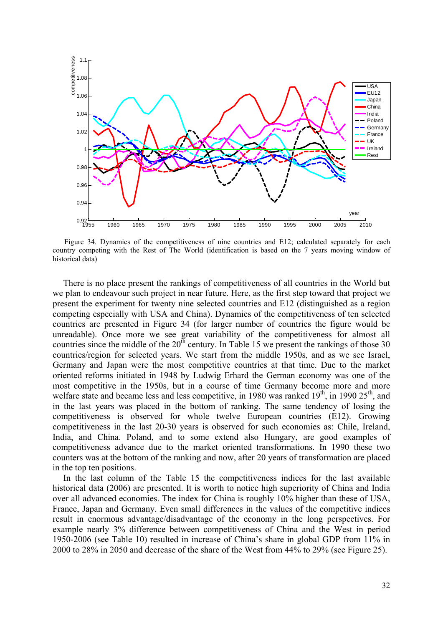

Figure 34. Dynamics of the competitiveness of nine countries and E12; calculated separately for each country competing with the Rest of The World (identification is based on the 7 years moving window of historical data)

There is no place present the rankings of competitiveness of all countries in the World but we plan to endeavour such project in near future. Here, as the first step toward that project we present the experiment for twenty nine selected countries and E12 (distinguished as a region competing especially with USA and China). Dynamics of the competitiveness of ten selected countries are presented in Figure 34 (for larger number of countries the figure would be unreadable). Once more we see great variability of the competitiveness for almost all countries since the middle of the  $20<sup>th</sup>$  century. In Table 15 we present the rankings of those 30 countries/region for selected years. We start from the middle 1950s, and as we see Israel, Germany and Japan were the most competitive countries at that time. Due to the market oriented reforms initiated in 1948 by Ludwig Erhard the German economy was one of the most competitive in the 1950s, but in a course of time Germany become more and more welfare state and became less and less competitive, in 1980 was ranked  $19<sup>th</sup>$ , in 1990 25<sup>th</sup>, and in the last years was placed in the bottom of ranking. The same tendency of losing the competitiveness is observed for whole twelve European countries (E12). Growing competitiveness in the last 20-30 years is observed for such economies as: Chile, Ireland, India, and China. Poland, and to some extend also Hungary, are good examples of competitiveness advance due to the market oriented transformations. In 1990 these two counters was at the bottom of the ranking and now, after 20 years of transformation are placed in the top ten positions.

In the last column of the Table 15 the competitiveness indices for the last available historical data (2006) are presented. It is worth to notice high superiority of China and India over all advanced economies. The index for China is roughly 10% higher than these of USA, France, Japan and Germany. Even small differences in the values of the competitive indices result in enormous advantage/disadvantage of the economy in the long perspectives. For example nearly 3% difference between competitiveness of China and the West in period 1950-2006 (see Table 10) resulted in increase of China's share in global GDP from 11% in 2000 to 28% in 2050 and decrease of the share of the West from 44% to 29% (see Figure 25).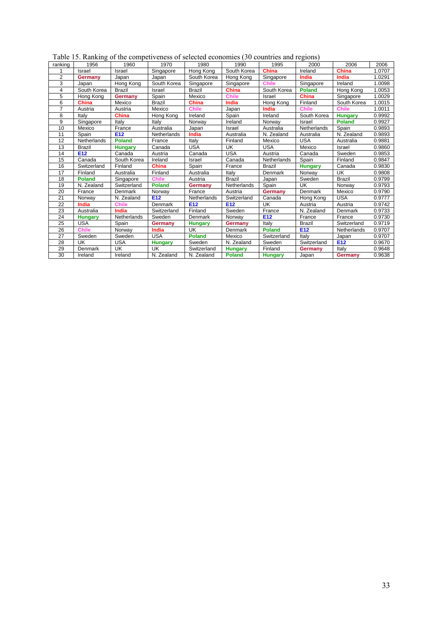|         |      |     | Table 15. Ranking of the competiveness of selected economies (30 countries and regions) |      |      |      |      |  |
|---------|------|-----|-----------------------------------------------------------------------------------------|------|------|------|------|--|
| ranking | 1956 | ിറെ | 1970                                                                                    | 1980 | 1990 | 1995 | 2000 |  |

| ranking | 1956           | 1960            | 1970            | 1980            | 1990            | 1995           | 2000            | 2006            | 2006   |
|---------|----------------|-----------------|-----------------|-----------------|-----------------|----------------|-----------------|-----------------|--------|
|         | Israel         | Israel          | Singapore       | Hong Kong       | South Korea     | <b>China</b>   | Ireland         | <b>China</b>    | 1.0707 |
| 2       | Germany        | Japan           | Japan           | South Korea     | Hong Kong       | Singapore      | India           | India           | 1.0291 |
| 3       | Japan          | Hong Kong       | South Korea     | Singapore       | Singapore       | <b>Chile</b>   | Singapore       | Ireland         | 1.0098 |
| 4       | South Korea    | <b>Brazil</b>   | Israel          | <b>Brazil</b>   | <b>China</b>    | South Korea    | <b>Poland</b>   | Hong Kong       | 1.0053 |
| 5       | Hong Kong      | Germany         | Spain           | Mexico          | <b>Chile</b>    | Israel         | China           | Singapore       | 1.0029 |
| 6       | <b>China</b>   | Mexico          | <b>Brazil</b>   | <b>China</b>    | India           | Hong Kong      | Finland         | South Korea     | 1.0015 |
| 7       | Austria        | Austria         | Mexico          | <b>Chile</b>    | Japan           | <b>India</b>   | <b>Chile</b>    | <b>Chile</b>    | 1.0011 |
| 8       | Italy          | <b>China</b>    | Hong Kong       | Ireland         | Spain           | Ireland        | South Korea     | <b>Hungary</b>  | 0.9992 |
| 9       | Singapore      | Italy           | Italv           | Norway          | Ireland         | Norway         | Israel          | Poland          | 0.9927 |
| 10      | Mexico         | France          | Australia       | Japan           | Israel          | Australia      | Netherlands     | Spain           | 0.9893 |
| 11      | Spain          | E <sub>12</sub> | Netherlands     | India           | Australia       | N. Zealand     | Australia       | N. Zealand      | 0.9893 |
| 12      | Netherlands    | <b>Poland</b>   | France          | Italy           | Finland         | Mexico         | <b>USA</b>      | Australia       | 0.9881 |
| 13      | <b>Brazil</b>  | <b>Hungary</b>  | Canada          | <b>USA</b>      | UK              | USA            | Mexico          | Israel          | 0.9860 |
| 14      | E12            | Canada          | Austria         | Canada          | <b>USA</b>      | Austria        | Canada          | Sweden          | 0.9853 |
| 15      | Canada         | South Korea     | Ireland         | Israel          | Canada          | Netherlands    | Spain           | Finland         | 0.9847 |
| 16      | Switzerland    | Finland         | <b>China</b>    | Spain           | France          | <b>Brazil</b>  | <b>Hungary</b>  | Canada          | 0.9830 |
| 17      | Finland        | Australia       | Finland         | Australia       | Italy           | Denmark        | Norway          | UK              | 0.9808 |
| 18      | <b>Poland</b>  | Singapore       | <b>Chile</b>    | Austria         | <b>Brazil</b>   | Japan          | Sweden          | <b>Brazil</b>   | 0.9799 |
| 19      | N. Zealand     | Switzerland     | <b>Poland</b>   | Germany         | Netherlands     | Spain          | UK              | Norway          | 0.9793 |
| 20      | France         | Denmark         | Norway          | France          | Austria         | Germany        | Denmark         | Mexico          | 0.9790 |
| 21      | Norway         | N. Zealand      | E <sub>12</sub> | Netherlands     | Switzerland     | Canada         | Hong Kong       | <b>USA</b>      | 0.9777 |
| 22      | India          | <b>Chile</b>    | Denmark         | E <sub>12</sub> | E <sub>12</sub> | UK             | Austria         | Austria         | 0.9742 |
| 23      | Australia      | India           | Switzerland     | Finland         | Sweden          | France         | N. Zealand      | Denmark         | 0.9733 |
| 24      | <b>Hungary</b> | Netherlands     | Sweden          | Denmark         | Norway          | E12            | France          | France          | 0.9730 |
| 25      | USA            | Spain           | Germany         | <b>Hungary</b>  | Germany         | Italv          | <b>Brazil</b>   | Switzerland     | 0.9719 |
| 26      | <b>Chile</b>   | Norway          | India           | UK              | Denmark         | <b>Poland</b>  | E <sub>12</sub> | Netherlands     | 0.9707 |
| 27      | Sweden         | Sweden          | <b>USA</b>      | <b>Poland</b>   | Mexico          | Switzerland    | Italy           | Japan           | 0.9707 |
| 28      | UK             | <b>USA</b>      | <b>Hungary</b>  | Sweden          | N. Zealand      | Sweden         | Switzerland     | E <sub>12</sub> | 0.9670 |
| 29      | Denmark        | UK              | UK              | Switzerland     | <b>Hungary</b>  | Finland        | Germany         | Italy           | 0.9648 |
| 30      | Ireland        | Ireland         | N. Zealand      | N. Zealand      | <b>Poland</b>   | <b>Hungary</b> | Japan           | Germany         | 0.9638 |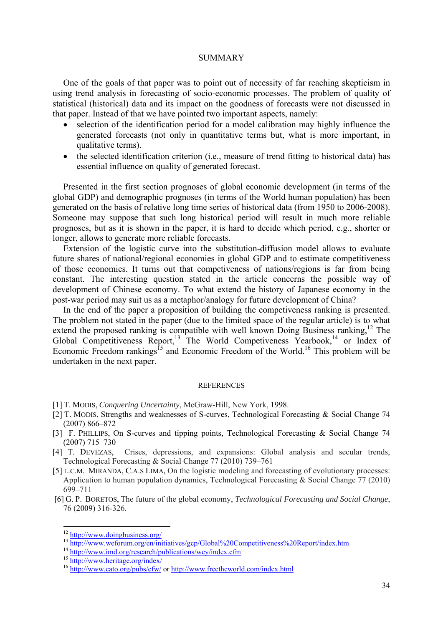## SUMMARY

One of the goals of that paper was to point out of necessity of far reaching skepticism in using trend analysis in forecasting of socio-economic processes. The problem of quality of statistical (historical) data and its impact on the goodness of forecasts were not discussed in that paper. Instead of that we have pointed two important aspects, namely:

- selection of the identification period for a model calibration may highly influence the generated forecasts (not only in quantitative terms but, what is more important, in qualitative terms).
- the selected identification criterion (i.e., measure of trend fitting to historical data) has essential influence on quality of generated forecast.

Presented in the first section prognoses of global economic development (in terms of the global GDP) and demographic prognoses (in terms of the World human population) has been generated on the basis of relative long time series of historical data (from 1950 to 2006-2008). Someone may suppose that such long historical period will result in much more reliable prognoses, but as it is shown in the paper, it is hard to decide which period, e.g., shorter or longer, allows to generate more reliable forecasts.

Extension of the logistic curve into the substitution-diffusion model allows to evaluate future shares of national/regional economies in global GDP and to estimate competitiveness of those economies. It turns out that competiveness of nations/regions is far from being constant. The interesting question stated in the article concerns the possible way of development of Chinese economy. To what extend the history of Japanese economy in the post-war period may suit us as a metaphor/analogy for future development of China?

In the end of the paper a proposition of building the competiveness ranking is presented. The problem not stated in the paper (due to the limited space of the regular article) is to what extend the proposed ranking is compatible with well known Doing Business ranking,<sup>12</sup> The Global Competitiveness Report,<sup>13</sup> The World Competiveness Yearbook,<sup>14</sup> or Index of Economic Freedom rankings<sup>15</sup> and Economic Freedom of the World.<sup>16</sup> This problem will be undertaken in the next paper.

#### REFERENCES

- [1] T. MODIS, *Conquering Uncertainty*, McGraw-Hill, New York, 1998.
- [2] T. MODIS, Strengths and weaknesses of S-curves, Technological Forecasting & Social Change 74 (2007) 866–872
- [3] F. PHILLIPS, On S-curves and tipping points, Technological Forecasting & Social Change 74 (2007) 715–730
- [4] T. DEVEZAS, Crises, depressions, and expansions: Global analysis and secular trends, Technological Forecasting & Social Change 77 (2010) 739–761
- [5] L.C.M. MIRANDA, C.A.S LIMA, On the logistic modeling and forecasting of evolutionary processes: Application to human population dynamics, Technological Forecasting & Social Change 77 (2010) 699–711
- [6] G. P. BORETOS, The future of the global economy, *Technological Forecasting and Social Change*, 76 (2009) 316-326.

 $12$  http://www.doingbusiness.org/

<sup>&</sup>lt;sup>13</sup><br>http://www.weforum.org/en/initiatives/gcp/Global%20Competitiveness%20Report/index.htm<br><sup>14</sup> http://www.imd.org/research/publications/wcy/index.cfm<br><sup>15</sup> http://www.heritage.org/index/<br><sup>16</sup> http://www.cato.org/pubs/efw/